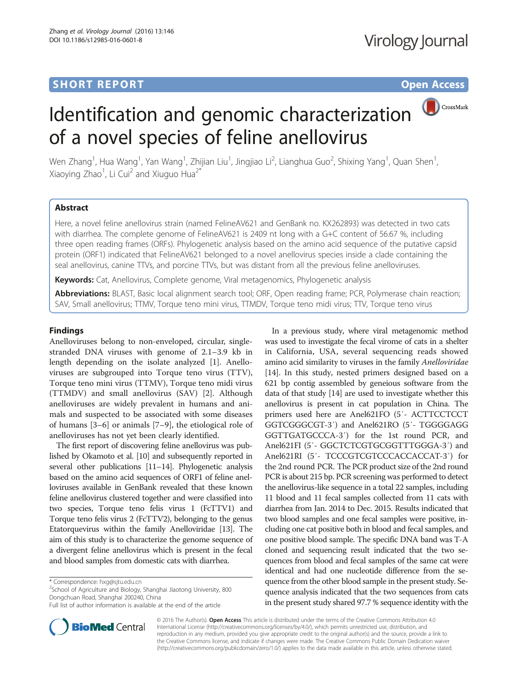# **SHORT REPORT SHORT CONSUMING THE CONSUMING THE CONSUMING THE CONSUMING THE CONSUMING THE CONSUMING THE CONSUMING THE CONSUMING THE CONSUMING THE CONSUMING THE CONSUMING THE CONSUMING THE CONSUMING THE CONSUMING THE CONS**

# CrossMark

# Identification and genomic characterization of a novel species of feline anellovirus

Wen Zhang<sup>1</sup>, Hua Wang<sup>1</sup>, Yan Wang<sup>1</sup>, Zhijian Liu<sup>1</sup>, Jingjiao Li<sup>2</sup>, Lianghua Guo<sup>2</sup>, Shixing Yang<sup>1</sup>, Quan Shen<sup>1</sup> , Xiaoying Zhao<sup>1</sup>, Li Cui<sup>2</sup> and Xiuguo Hua<sup>2\*</sup>

## Abstract

Here, a novel feline anellovirus strain (named FelineAV621 and GenBank no. KX262893) was detected in two cats with diarrhea. The complete genome of FelineAV621 is 2409 nt long with a G+C content of 56.67 %, including three open reading frames (ORFs). Phylogenetic analysis based on the amino acid sequence of the putative capsid protein (ORF1) indicated that FelineAV621 belonged to a novel anellovirus species inside a clade containing the seal anellovirus, canine TTVs, and porcine TTVs, but was distant from all the previous feline anelloviruses.

Keywords: Cat, Anellovirus, Complete genome, Viral metagenomics, Phylogenetic analysis

Abbreviations: BLAST, Basic local alignment search tool; ORF, Open reading frame; PCR, Polymerase chain reaction; SAV, Small anellovirus; TTMV, Torque teno mini virus, TTMDV, Torque teno midi virus; TTV, Torque teno virus

### Findings

Anelloviruses belong to non-enveloped, circular, singlestranded DNA viruses with genome of 2.1–3.9 kb in length depending on the isolate analyzed [\[1](#page-2-0)]. Anelloviruses are subgrouped into Torque teno virus (TTV), Torque teno mini virus (TTMV), Torque teno midi virus (TTMDV) and small anellovirus (SAV) [\[2](#page-2-0)]. Although anelloviruses are widely prevalent in humans and animals and suspected to be associated with some diseases of humans [[3](#page-2-0)–[6\]](#page-2-0) or animals [[7](#page-2-0)–[9](#page-2-0)], the etiological role of anelloviruses has not yet been clearly identified.

The first report of discovering feline anellovirus was published by Okamoto et al. [[10](#page-2-0)] and subsequently reported in several other publications [\[11](#page-2-0)–[14](#page-2-0)]. Phylogenetic analysis based on the amino acid sequences of ORF1 of feline anelloviruses available in GenBank revealed that these known feline anellovirus clustered together and were classified into two species, Torque teno felis virus 1 (FcTTV1) and Torque teno felis virus 2 (FcTTV2), belonging to the genus Etatorquevirus within the family Anelloviridae [\[13\]](#page-2-0). The aim of this study is to characterize the genome sequence of a divergent feline anellovirus which is present in the fecal and blood samples from domestic cats with diarrhea.

 $2$ School of Agriculture and Biology, Shanghai Jiaotong University, 800 Dongchuan Road, Shanghai 200240, China

In a previous study, where viral metagenomic method was used to investigate the fecal virome of cats in a shelter in California, USA, several sequencing reads showed amino acid similarity to viruses in the family Anelloviridae [[14](#page-2-0)]. In this study, nested primers designed based on a 621 bp contig assembled by geneious software from the data of that study [\[14\]](#page-2-0) are used to investigate whether this anellovirus is present in cat population in China. The primers used here are Anel621FO (5′- ACTTCCTCCT GGTCGGGCGT-3′) and Anel621RO (5′- TGGGGAGG GGTTGATGCCCA-3′) for the 1st round PCR, and Anel621FI (5′- GGCTCTCGTGCGGTTTGGGA-3′) and Anel621RI (5′- TCCCGTCGTCCCACCACCAT-3′) for the 2nd round PCR. The PCR product size of the 2nd round PCR is about 215 bp. PCR screening was performed to detect the anellovirus-like sequence in a total 22 samples, including 11 blood and 11 fecal samples collected from 11 cats with diarrhea from Jan. 2014 to Dec. 2015. Results indicated that two blood samples and one fecal samples were positive, including one cat positive both in blood and fecal samples, and one positive blood sample. The specific DNA band was T-A cloned and sequencing result indicated that the two sequences from blood and fecal samples of the same cat were identical and had one nucleotide difference from the sequence from the other blood sample in the present study. Sequence analysis indicated that the two sequences from cats

in the present study shared 97.7 % sequence identity with the



© 2016 The Author(s). Open Access This article is distributed under the terms of the Creative Commons Attribution 4.0 International License [\(http://creativecommons.org/licenses/by/4.0/](http://creativecommons.org/licenses/by/4.0/)), which permits unrestricted use, distribution, and reproduction in any medium, provided you give appropriate credit to the original author(s) and the source, provide a link to the Creative Commons license, and indicate if changes were made. The Creative Commons Public Domain Dedication waiver [\(http://creativecommons.org/publicdomain/zero/1.0/](http://creativecommons.org/publicdomain/zero/1.0/)) applies to the data made available in this article, unless otherwise stated.

<sup>\*</sup> Correspondence: [hxg@sjtu.edu.cn](mailto:hxg@sjtu.edu.cn) <sup>2</sup>

Full list of author information is available at the end of the article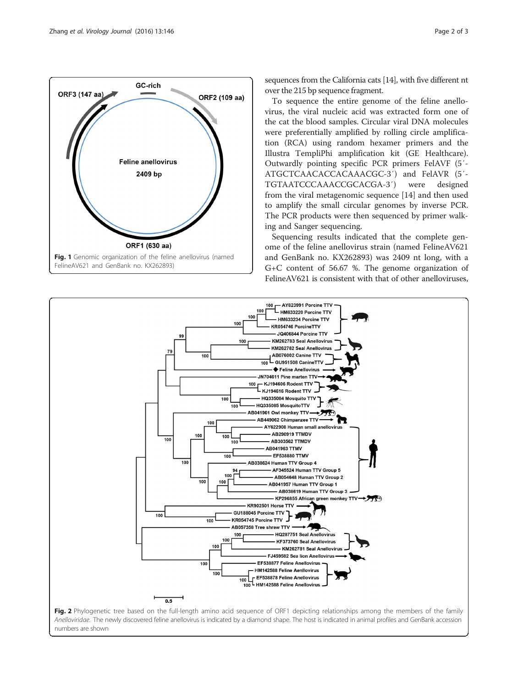<span id="page-1-0"></span>

sequences from the California cats [\[14\]](#page-2-0), with five different nt over the 215 bp sequence fragment.

To sequence the entire genome of the feline anellovirus, the viral nucleic acid was extracted form one of the cat the blood samples. Circular viral DNA molecules were preferentially amplified by rolling circle amplification (RCA) using random hexamer primers and the Illustra TempliPhi amplification kit (GE Healthcare). Outwardly pointing specific PCR primers FelAVF (5′- ATGCTCAACACCACAAACGC-3′) and FelAVR (5′- TGTAATCCCAAACCGCACGA-3′) were designed from the viral metagenomic sequence [[14\]](#page-2-0) and then used to amplify the small circular genomes by inverse PCR. The PCR products were then sequenced by primer walking and Sanger sequencing.

Sequencing results indicated that the complete genome of the feline anellovirus strain (named FelineAV621 and GenBank no. KX262893) was 2409 nt long, with a G+C content of 56.67 %. The genome organization of FelineAV621 is consistent with that of other anelloviruses,



Anelloviridae. The newly discovered feline anellovirus is indicated by a diamond shape. The host is indicated in animal profiles and GenBank accession numbers are shown